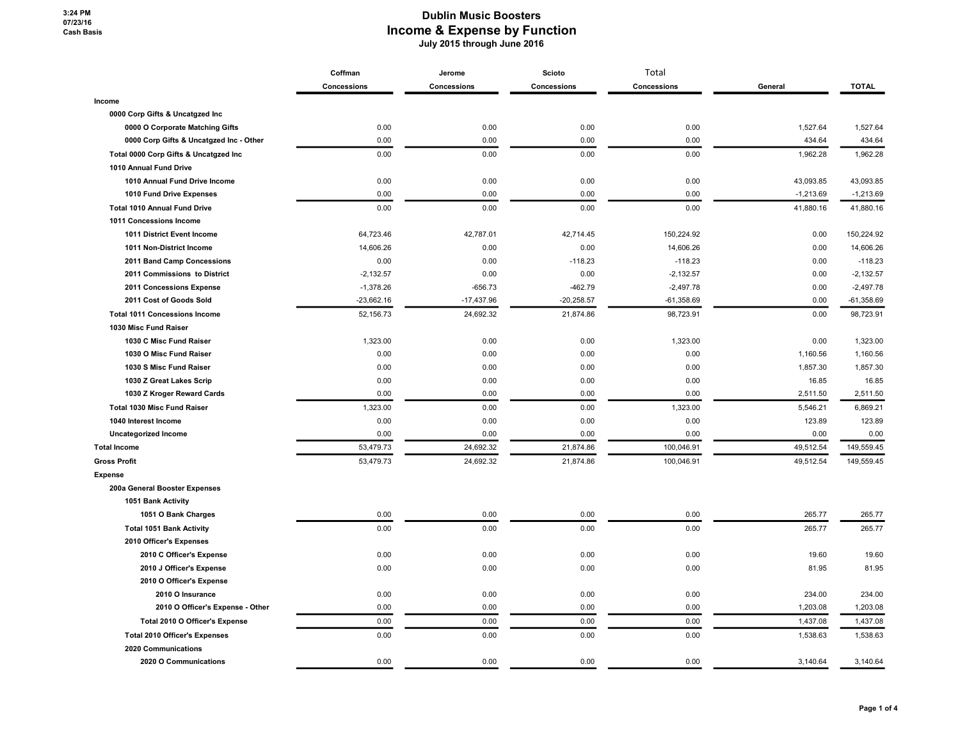|                                         | Coffman     | Jerome       | Scioto       | Total        |             |              |
|-----------------------------------------|-------------|--------------|--------------|--------------|-------------|--------------|
|                                         | Concessions | Concessions  | Concessions  | Concessions  | General     | <b>TOTAL</b> |
| Income                                  |             |              |              |              |             |              |
| 0000 Corp Gifts & Uncatgzed Inc         |             |              |              |              |             |              |
| 0000 O Corporate Matching Gifts         | 0.00        | 0.00         | 0.00         | 0.00         | 1,527.64    | 1,527.64     |
| 0000 Corp Gifts & Uncatgzed Inc - Other | 0.00        | 0.00         | 0.00         | 0.00         | 434.64      | 434.64       |
| Total 0000 Corp Gifts & Uncatgzed Inc   | 0.00        | 0.00         | 0.00         | 0.00         | 1,962.28    | 1,962.28     |
| 1010 Annual Fund Drive                  |             |              |              |              |             |              |
| 1010 Annual Fund Drive Income           | 0.00        | 0.00         | 0.00         | 0.00         | 43,093.85   | 43,093.85    |
| 1010 Fund Drive Expenses                | 0.00        | 0.00         | 0.00         | 0.00         | $-1,213.69$ | $-1,213.69$  |
| <b>Total 1010 Annual Fund Drive</b>     | 0.00        | 0.00         | 0.00         | 0.00         | 41,880.16   | 41,880.16    |
| 1011 Concessions Income                 |             |              |              |              |             |              |
| 1011 District Event Income              | 64,723.46   | 42,787.01    | 42,714.45    | 150,224.92   | 0.00        | 150,224.92   |
| 1011 Non-District Income                | 14,606.26   | 0.00         | 0.00         | 14,606.26    | 0.00        | 14,606.26    |
| 2011 Band Camp Concessions              | 0.00        | 0.00         | $-118.23$    | $-118.23$    | 0.00        | $-118.23$    |
| 2011 Commissions to District            | $-2,132.57$ | 0.00         | 0.00         | $-2,132.57$  | 0.00        | $-2,132.57$  |
| 2011 Concessions Expense                | $-1,378.26$ | $-656.73$    | $-462.79$    | $-2,497.78$  | 0.00        | $-2,497.78$  |
| 2011 Cost of Goods Sold                 | -23,662.16  | $-17,437.96$ | $-20,258.57$ | $-61,358.69$ | 0.00        | $-61,358.69$ |
| <b>Total 1011 Concessions Income</b>    | 52,156.73   | 24,692.32    | 21,874.86    | 98,723.91    | 0.00        | 98,723.91    |
| 1030 Misc Fund Raiser                   |             |              |              |              |             |              |
| 1030 C Misc Fund Raiser                 | 1,323.00    | 0.00         | 0.00         | 1,323.00     | 0.00        | 1,323.00     |
| 1030 O Misc Fund Raiser                 | 0.00        | 0.00         | 0.00         | 0.00         | 1,160.56    | 1,160.56     |
| 1030 S Misc Fund Raiser                 | 0.00        | 0.00         | 0.00         | 0.00         | 1,857.30    | 1,857.30     |
| 1030 Z Great Lakes Scrip                | 0.00        | 0.00         | 0.00         | 0.00         | 16.85       | 16.85        |
| 1030 Z Kroger Reward Cards              | 0.00        | 0.00         | 0.00         | 0.00         | 2,511.50    | 2,511.50     |
| <b>Total 1030 Misc Fund Raiser</b>      | 1,323.00    | 0.00         | 0.00         | 1,323.00     | 5,546.21    | 6,869.21     |
| 1040 Interest Income                    | 0.00        | 0.00         | 0.00         | 0.00         | 123.89      | 123.89       |
| <b>Uncategorized Income</b>             | 0.00        | 0.00         | 0.00         | 0.00         | 0.00        | 0.00         |
| <b>Total Income</b>                     | 53,479.73   | 24,692.32    | 21,874.86    | 100,046.91   | 49,512.54   | 149,559.45   |
| <b>Gross Profit</b>                     | 53,479.73   | 24,692.32    | 21,874.86    | 100,046.91   | 49,512.54   | 149,559.45   |
| <b>Expense</b>                          |             |              |              |              |             |              |
| 200a General Booster Expenses           |             |              |              |              |             |              |
| 1051 Bank Activity                      |             |              |              |              |             |              |
| 1051 O Bank Charges                     | 0.00        | 0.00         | 0.00         | 0.00         | 265.77      | 265.77       |
| <b>Total 1051 Bank Activity</b>         | 0.00        | 0.00         | 0.00         | 0.00         | 265.77      | 265.77       |
| 2010 Officer's Expenses                 |             |              |              |              |             |              |
| 2010 C Officer's Expense                | 0.00        | 0.00         | 0.00         | 0.00         | 19.60       | 19.60        |
| 2010 J Officer's Expense                | 0.00        | 0.00         | 0.00         | 0.00         | 81.95       | 81.95        |
| 2010 O Officer's Expense                |             |              |              |              |             |              |
| 2010 O Insurance                        | 0.00        | 0.00         | 0.00         | 0.00         | 234.00      | 234.00       |
| 2010 O Officer's Expense - Other        | 0.00        | 0.00         | 0.00         | 0.00         | 1,203.08    | 1,203.08     |
| Total 2010 O Officer's Expense          | 0.00        | 0.00         | 0.00         | 0.00         | 1,437.08    | 1,437.08     |
| <b>Total 2010 Officer's Expenses</b>    | 0.00        | 0.00         | 0.00         | 0.00         | 1,538.63    | 1,538.63     |
| 2020 Communications                     |             |              |              |              |             |              |
| 2020 O Communications                   | 0.00        | 0.00         | 0.00         | 0.00         | 3.140.64    | 3,140.64     |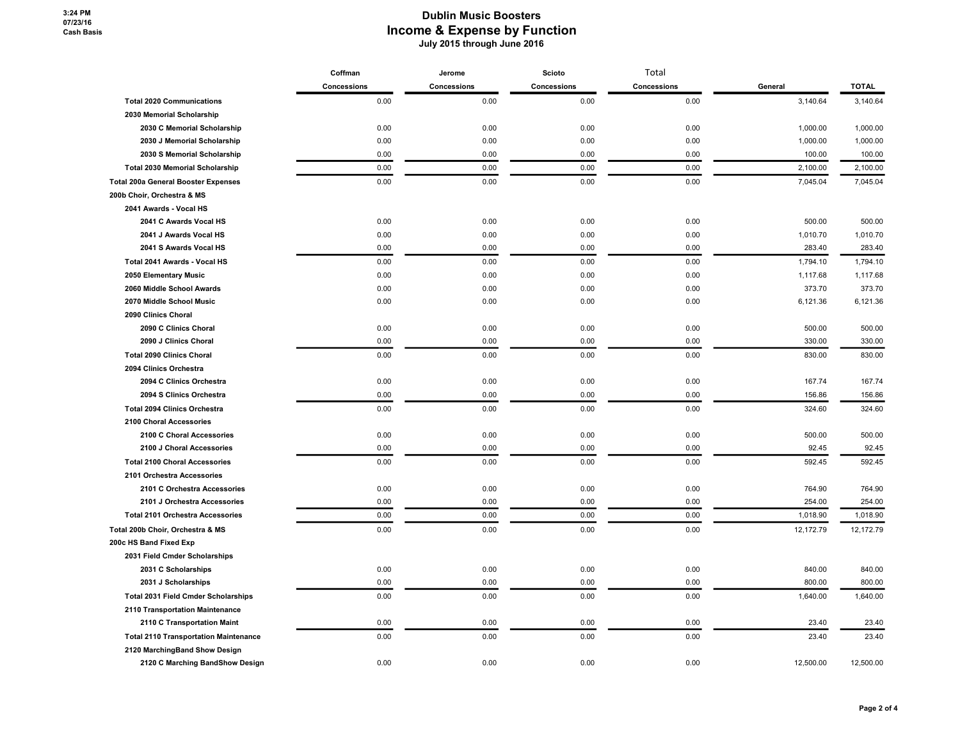|                                              | Coffman            | Jerome      | Scioto      | Total       |           |              |
|----------------------------------------------|--------------------|-------------|-------------|-------------|-----------|--------------|
|                                              | <b>Concessions</b> | Concessions | Concessions | Concessions | General   | <b>TOTAL</b> |
| <b>Total 2020 Communications</b>             | 0.00               | 0.00        | 0.00        | 0.00        | 3,140.64  | 3,140.64     |
| 2030 Memorial Scholarship                    |                    |             |             |             |           |              |
| 2030 C Memorial Scholarship                  | 0.00               | 0.00        | 0.00        | 0.00        | 1,000.00  | 1,000.00     |
| 2030 J Memorial Scholarship                  | 0.00               | 0.00        | 0.00        | 0.00        | 1,000.00  | 1,000.00     |
| 2030 S Memorial Scholarship                  | 0.00               | 0.00        | 0.00        | 0.00        | 100.00    | 100.00       |
| <b>Total 2030 Memorial Scholarship</b>       | 0.00               | 0.00        | 0.00        | 0.00        | 2,100.00  | 2,100.00     |
| <b>Total 200a General Booster Expenses</b>   | 0.00               | 0.00        | 0.00        | 0.00        | 7,045.04  | 7,045.04     |
| 200b Choir, Orchestra & MS                   |                    |             |             |             |           |              |
| 2041 Awards - Vocal HS                       |                    |             |             |             |           |              |
| 2041 C Awards Vocal HS                       | 0.00               | 0.00        | 0.00        | 0.00        | 500.00    | 500.00       |
| 2041 J Awards Vocal HS                       | 0.00               | 0.00        | 0.00        | 0.00        | 1,010.70  | 1,010.70     |
| 2041 S Awards Vocal HS                       | 0.00               | 0.00        | 0.00        | 0.00        | 283.40    | 283.40       |
| Total 2041 Awards - Vocal HS                 | 0.00               | 0.00        | 0.00        | 0.00        | 1,794.10  | 1,794.10     |
| 2050 Elementary Music                        | 0.00               | 0.00        | 0.00        | 0.00        | 1,117.68  | 1,117.68     |
| 2060 Middle School Awards                    | 0.00               | 0.00        | 0.00        | 0.00        | 373.70    | 373.70       |
| 2070 Middle School Music                     | 0.00               | 0.00        | 0.00        | 0.00        | 6,121.36  | 6,121.36     |
| 2090 Clinics Choral                          |                    |             |             |             |           |              |
| 2090 C Clinics Choral                        | 0.00               | 0.00        | 0.00        | 0.00        | 500.00    | 500.00       |
| 2090 J Clinics Choral                        | 0.00               | 0.00        | 0.00        | 0.00        | 330.00    | 330.00       |
| <b>Total 2090 Clinics Choral</b>             | 0.00               | 0.00        | 0.00        | 0.00        | 830.00    | 830.00       |
| 2094 Clinics Orchestra                       |                    |             |             |             |           |              |
| 2094 C Clinics Orchestra                     | 0.00               | 0.00        | 0.00        | 0.00        | 167.74    | 167.74       |
| 2094 S Clinics Orchestra                     | 0.00               | 0.00        | 0.00        | 0.00        | 156.86    | 156.86       |
| <b>Total 2094 Clinics Orchestra</b>          | 0.00               | 0.00        | 0.00        | 0.00        | 324.60    | 324.60       |
| 2100 Choral Accessories                      |                    |             |             |             |           |              |
| 2100 C Choral Accessories                    | 0.00               | 0.00        | 0.00        | 0.00        | 500.00    | 500.00       |
| 2100 J Choral Accessories                    | 0.00               | 0.00        | 0.00        | 0.00        | 92.45     | 92.45        |
| <b>Total 2100 Choral Accessories</b>         | 0.00               | 0.00        | 0.00        | 0.00        | 592.45    | 592.45       |
| 2101 Orchestra Accessories                   |                    |             |             |             |           |              |
| 2101 C Orchestra Accessories                 | 0.00               | 0.00        | 0.00        | 0.00        | 764.90    | 764.90       |
| 2101 J Orchestra Accessories                 | 0.00               | 0.00        | 0.00        | 0.00        | 254.00    | 254.00       |
| <b>Total 2101 Orchestra Accessories</b>      | 0.00               | 0.00        | 0.00        | 0.00        | 1,018.90  | 1,018.90     |
| Total 200b Choir, Orchestra & MS             | 0.00               | 0.00        | 0.00        | 0.00        | 12,172.79 | 12,172.79    |
| 200c HS Band Fixed Exp                       |                    |             |             |             |           |              |
| 2031 Field Cmder Scholarships                |                    |             |             |             |           |              |
| 2031 C Scholarships                          | 0.00               | 0.00        | 0.00        | 0.00        | 840.00    | 840.00       |
| 2031 J Scholarships                          | 0.00               | 0.00        | 0.00        | 0.00        | 800.00    | 800.00       |
| Total 2031 Field Cmder Scholarships          | 0.00               | 0.00        | 0.00        | 0.00        | 1,640.00  | 1,640.00     |
| 2110 Transportation Maintenance              |                    |             |             |             |           |              |
| 2110 C Transportation Maint                  | 0.00               | 0.00        | 0.00        | 0.00        | 23.40     | 23.40        |
| <b>Total 2110 Transportation Maintenance</b> | 0.00               | 0.00        | 0.00        | 0.00        | 23.40     | 23.40        |
| 2120 MarchingBand Show Design                |                    |             |             |             |           |              |
| 2120 C Marching BandShow Design              | 0.00               | 0.00        | 0.00        | 0.00        | 12,500.00 | 12,500.00    |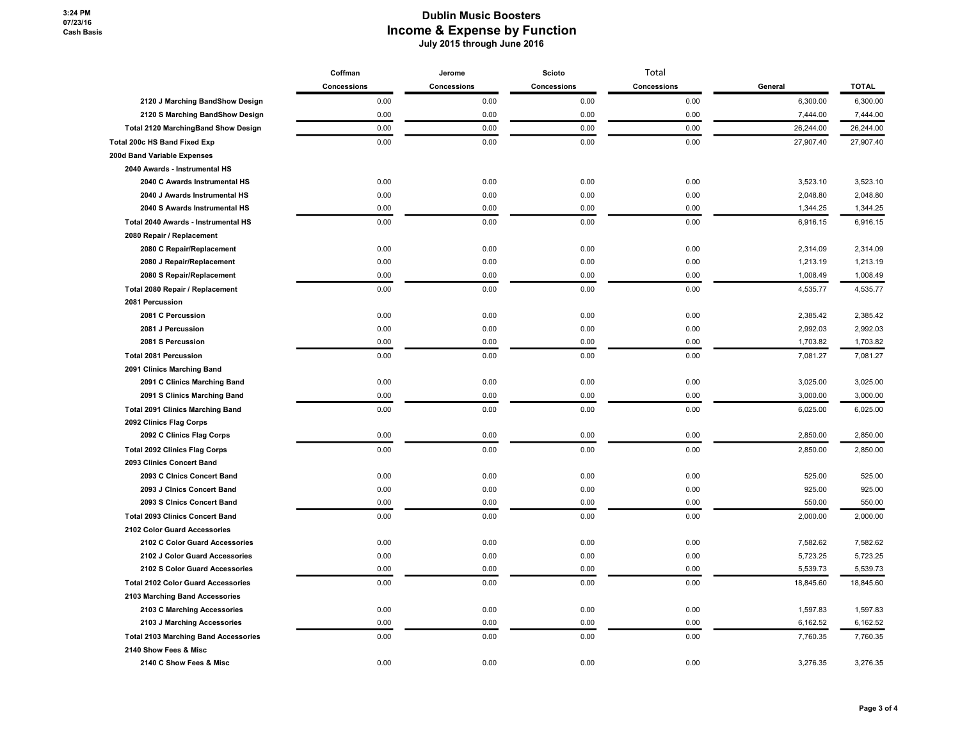|                                             | Coffman     | Jerome      | Scioto      | Total       | General   | <b>TOTAL</b> |
|---------------------------------------------|-------------|-------------|-------------|-------------|-----------|--------------|
|                                             | Concessions | Concessions | Concessions | Concessions |           |              |
| 2120 J Marching BandShow Design             | 0.00        | 0.00        | 0.00        | 0.00        | 6,300.00  | 6,300.00     |
| 2120 S Marching BandShow Design             | 0.00        | 0.00        | 0.00        | 0.00        | 7,444.00  | 7,444.00     |
| <b>Total 2120 MarchingBand Show Design</b>  | 0.00        | 0.00        | 0.00        | 0.00        | 26,244.00 | 26,244.00    |
| Total 200c HS Band Fixed Exp                | 0.00        | 0.00        | 0.00        | 0.00        | 27,907.40 | 27,907.40    |
| 200d Band Variable Expenses                 |             |             |             |             |           |              |
| 2040 Awards - Instrumental HS               |             |             |             |             |           |              |
| 2040 C Awards Instrumental HS               | 0.00        | 0.00        | 0.00        | 0.00        | 3,523.10  | 3,523.10     |
| 2040 J Awards Instrumental HS               | 0.00        | 0.00        | 0.00        | 0.00        | 2,048.80  | 2,048.80     |
| 2040 S Awards Instrumental HS               | 0.00        | 0.00        | 0.00        | 0.00        | 1,344.25  | 1,344.25     |
| Total 2040 Awards - Instrumental HS         | 0.00        | 0.00        | 0.00        | 0.00        | 6,916.15  | 6,916.15     |
| 2080 Repair / Replacement                   |             |             |             |             |           |              |
| 2080 C Repair/Replacement                   | 0.00        | 0.00        | 0.00        | 0.00        | 2,314.09  | 2,314.09     |
| 2080 J Repair/Replacement                   | 0.00        | 0.00        | 0.00        | 0.00        | 1,213.19  | 1,213.19     |
| 2080 S Repair/Replacement                   | 0.00        | 0.00        | 0.00        | 0.00        | 1,008.49  | 1,008.49     |
| Total 2080 Repair / Replacement             | 0.00        | 0.00        | 0.00        | 0.00        | 4,535.77  | 4,535.77     |
| 2081 Percussion                             |             |             |             |             |           |              |
| 2081 C Percussion                           | 0.00        | 0.00        | 0.00        | 0.00        | 2,385.42  | 2,385.42     |
| 2081 J Percussion                           | 0.00        | 0.00        | 0.00        | 0.00        | 2,992.03  | 2,992.03     |
| 2081 S Percussion                           | 0.00        | 0.00        | 0.00        | 0.00        | 1,703.82  | 1,703.82     |
| <b>Total 2081 Percussion</b>                | 0.00        | 0.00        | 0.00        | 0.00        | 7,081.27  | 7,081.27     |
| 2091 Clinics Marching Band                  |             |             |             |             |           |              |
| 2091 C Clinics Marching Band                | 0.00        | 0.00        | 0.00        | 0.00        | 3,025.00  | 3,025.00     |
| 2091 S Clinics Marching Band                | 0.00        | 0.00        | 0.00        | 0.00        | 3,000.00  | 3,000.00     |
| <b>Total 2091 Clinics Marching Band</b>     | 0.00        | 0.00        | 0.00        | 0.00        | 6,025.00  | 6,025.00     |
| 2092 Clinics Flag Corps                     |             |             |             |             |           |              |
| 2092 C Clinics Flag Corps                   | 0.00        | 0.00        | 0.00        | 0.00        | 2,850.00  | 2,850.00     |
| <b>Total 2092 Clinics Flag Corps</b>        | 0.00        | 0.00        | 0.00        | 0.00        | 2,850.00  | 2,850.00     |
| 2093 Clinics Concert Band                   |             |             |             |             |           |              |
| 2093 C Cinics Concert Band                  | 0.00        | 0.00        | 0.00        | 0.00        | 525.00    | 525.00       |
| 2093 J Cinics Concert Band                  | 0.00        | 0.00        | 0.00        | 0.00        | 925.00    | 925.00       |
| 2093 S Cinics Concert Band                  | 0.00        | 0.00        | 0.00        | 0.00        | 550.00    | 550.00       |
| <b>Total 2093 Clinics Concert Band</b>      | 0.00        | 0.00        | 0.00        | 0.00        | 2,000.00  | 2,000.00     |
| 2102 Color Guard Accessories                |             |             |             |             |           |              |
| 2102 C Color Guard Accessories              | 0.00        | 0.00        | 0.00        | 0.00        | 7,582.62  | 7,582.62     |
| 2102 J Color Guard Accessories              | 0.00        | 0.00        | 0.00        | 0.00        | 5,723.25  | 5,723.25     |
| 2102 S Color Guard Accessories              | 0.00        | 0.00        | 0.00        | 0.00        | 5,539.73  | 5,539.73     |
| <b>Total 2102 Color Guard Accessories</b>   | 0.00        | 0.00        | 0.00        | 0.00        | 18,845.60 | 18,845.60    |
| 2103 Marching Band Accessories              |             |             |             |             |           |              |
| 2103 C Marching Accessories                 | 0.00        | 0.00        | 0.00        | 0.00        | 1,597.83  | 1,597.83     |
| 2103 J Marching Accessories                 | 0.00        | 0.00        | 0.00        | 0.00        | 6,162.52  | 6,162.52     |
| <b>Total 2103 Marching Band Accessories</b> | 0.00        | 0.00        | 0.00        | 0.00        | 7,760.35  | 7,760.35     |
| 2140 Show Fees & Misc                       |             |             |             |             |           |              |
| 2140 C Show Fees & Misc                     | 0.00        | 0.00        | 0.00        | 0.00        | 3,276.35  | 3,276.35     |